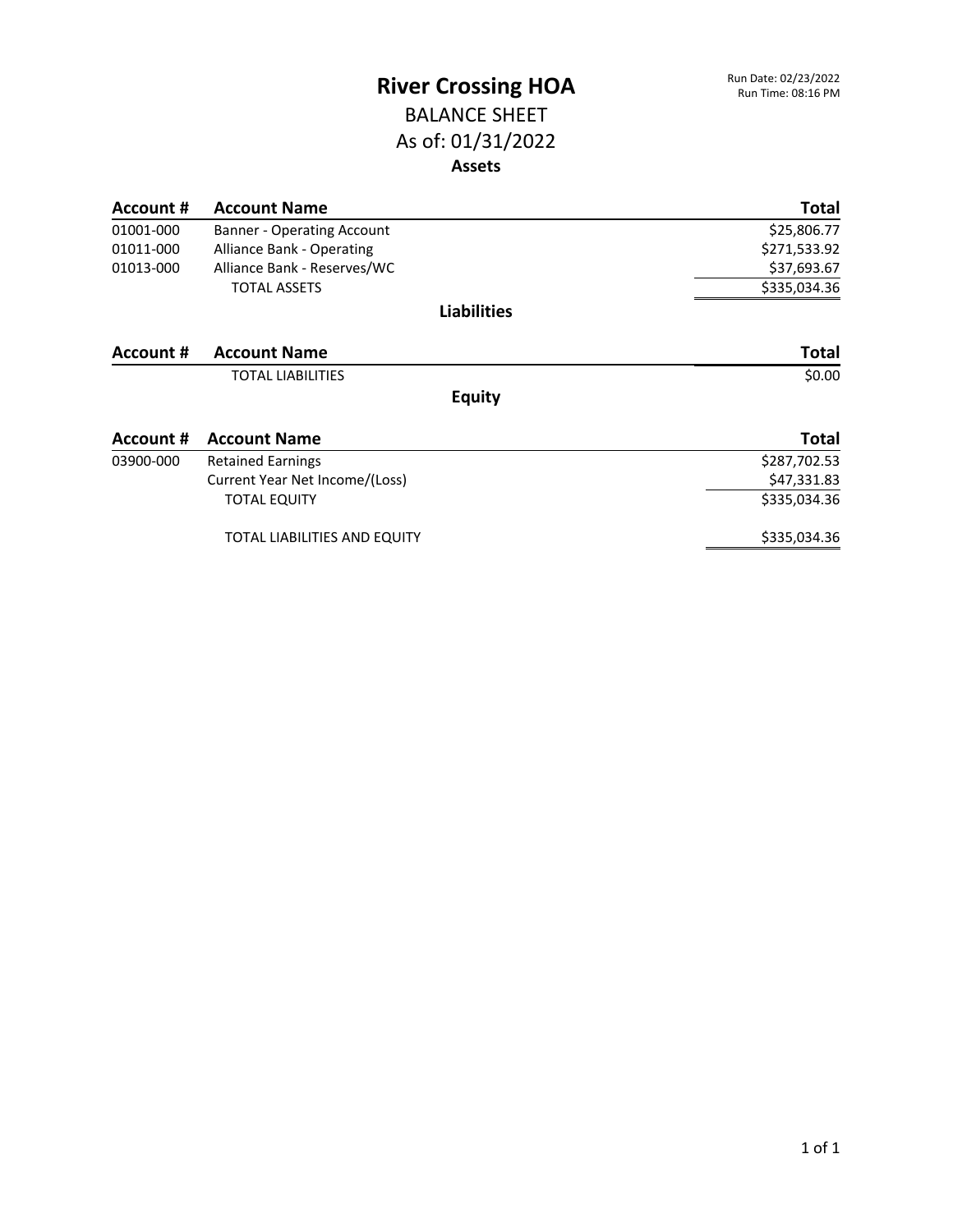### BALANCE SHEET As of: 01/31/2022 **Assets**

| Account # | <b>Account Name</b>               | <b>Total</b> |
|-----------|-----------------------------------|--------------|
| 01001-000 | <b>Banner - Operating Account</b> | \$25,806.77  |
| 01011-000 | <b>Alliance Bank - Operating</b>  | \$271,533.92 |
| 01013-000 | Alliance Bank - Reserves/WC       | \$37,693.67  |
|           | <b>TOTAL ASSETS</b>               | \$335,034.36 |
|           | <b>Liabilities</b>                |              |
| Account # | <b>Account Name</b>               | <b>Total</b> |
|           | <b>TOTAL LIABILITIES</b>          | \$0.00       |
|           | <b>Equity</b>                     |              |
| Account # | <b>Account Name</b>               | <b>Total</b> |
| 03900-000 | <b>Retained Earnings</b>          | \$287,702.53 |
|           | Current Year Net Income/(Loss)    | \$47,331.83  |
|           | <b>TOTAL EQUITY</b>               | \$335,034.36 |
|           | TOTAL LIABILITIES AND EQUITY      | \$335,034.36 |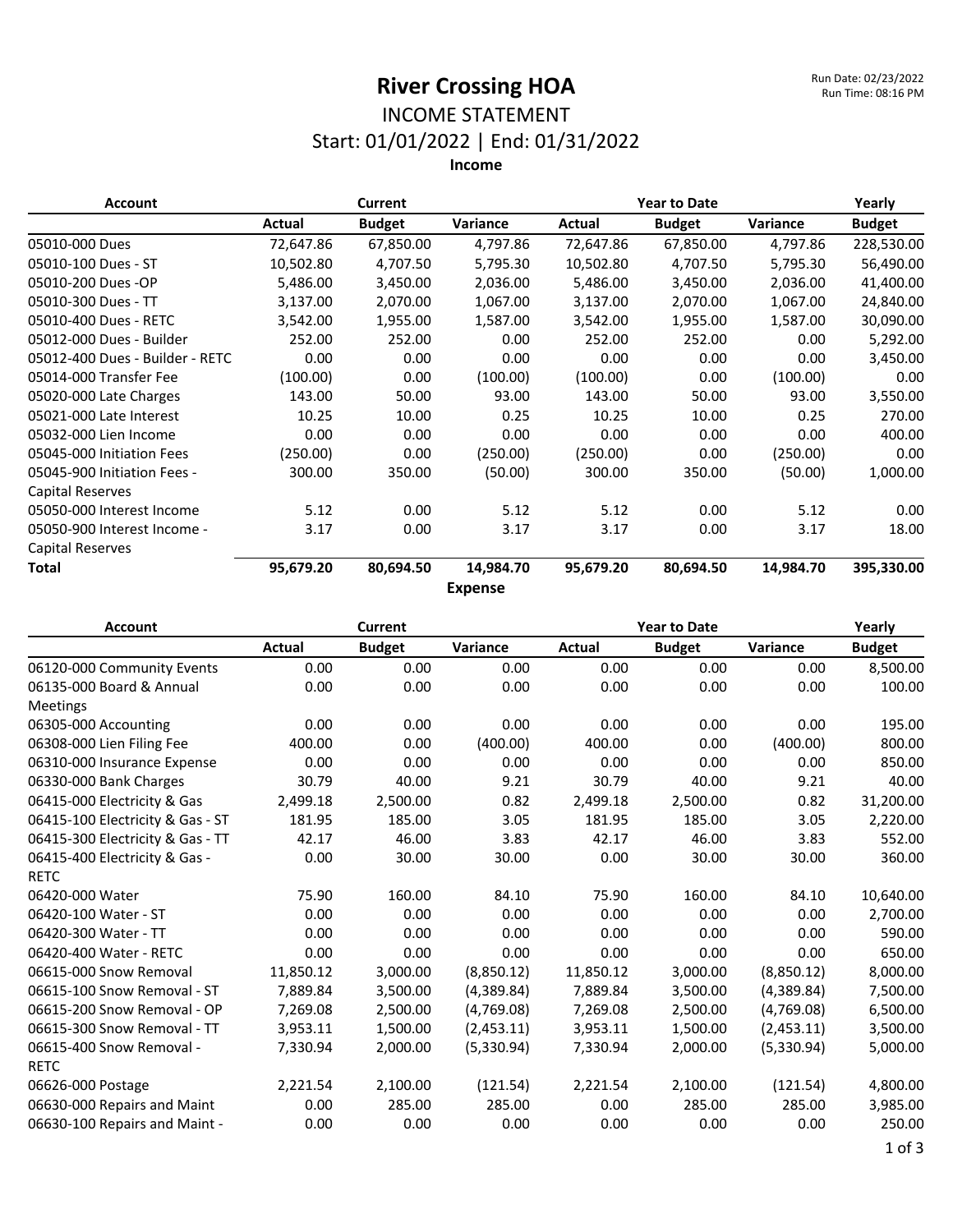### INCOME STATEMENT Start: 01/01/2022 | End: 01/31/2022

| <b>Account</b>                  |           | Current       |                | <b>Year to Date</b> | Yearly        |           |               |
|---------------------------------|-----------|---------------|----------------|---------------------|---------------|-----------|---------------|
|                                 | Actual    | <b>Budget</b> | Variance       | Actual              | <b>Budget</b> | Variance  | <b>Budget</b> |
| 05010-000 Dues                  | 72,647.86 | 67,850.00     | 4,797.86       | 72,647.86           | 67,850.00     | 4,797.86  | 228,530.00    |
| 05010-100 Dues - ST             | 10,502.80 | 4,707.50      | 5,795.30       | 10,502.80           | 4,707.50      | 5,795.30  | 56,490.00     |
| 05010-200 Dues -OP              | 5,486.00  | 3,450.00      | 2,036.00       | 5,486.00            | 3,450.00      | 2,036.00  | 41,400.00     |
| 05010-300 Dues - TT             | 3,137.00  | 2,070.00      | 1,067.00       | 3,137.00            | 2,070.00      | 1,067.00  | 24,840.00     |
| 05010-400 Dues - RETC           | 3,542.00  | 1,955.00      | 1,587.00       | 3,542.00            | 1,955.00      | 1,587.00  | 30,090.00     |
| 05012-000 Dues - Builder        | 252.00    | 252.00        | 0.00           | 252.00              | 252.00        | 0.00      | 5,292.00      |
| 05012-400 Dues - Builder - RETC | 0.00      | 0.00          | 0.00           | 0.00                | 0.00          | 0.00      | 3,450.00      |
| 05014-000 Transfer Fee          | (100.00)  | 0.00          | (100.00)       | (100.00)            | 0.00          | (100.00)  | 0.00          |
| 05020-000 Late Charges          | 143.00    | 50.00         | 93.00          | 143.00              | 50.00         | 93.00     | 3,550.00      |
| 05021-000 Late Interest         | 10.25     | 10.00         | 0.25           | 10.25               | 10.00         | 0.25      | 270.00        |
| 05032-000 Lien Income           | 0.00      | 0.00          | 0.00           | 0.00                | 0.00          | 0.00      | 400.00        |
| 05045-000 Initiation Fees       | (250.00)  | 0.00          | (250.00)       | (250.00)            | 0.00          | (250.00)  | 0.00          |
| 05045-900 Initiation Fees -     | 300.00    | 350.00        | (50.00)        | 300.00              | 350.00        | (50.00)   | 1,000.00      |
| <b>Capital Reserves</b>         |           |               |                |                     |               |           |               |
| 05050-000 Interest Income       | 5.12      | 0.00          | 5.12           | 5.12                | 0.00          | 5.12      | 0.00          |
| 05050-900 Interest Income -     | 3.17      | 0.00          | 3.17           | 3.17                | 0.00          | 3.17      | 18.00         |
| <b>Capital Reserves</b>         |           |               |                |                     |               |           |               |
| Total                           | 95,679.20 | 80,694.50     | 14,984.70      | 95,679.20           | 80,694.50     | 14,984.70 | 395,330.00    |
|                                 |           |               | <b>Expense</b> |                     |               |           |               |

| <b>Account</b>                   |               | Current       |            | <b>Year to Date</b> |               |            | Yearly        |
|----------------------------------|---------------|---------------|------------|---------------------|---------------|------------|---------------|
|                                  | <b>Actual</b> | <b>Budget</b> | Variance   | <b>Actual</b>       | <b>Budget</b> | Variance   | <b>Budget</b> |
| 06120-000 Community Events       | 0.00          | 0.00          | 0.00       | 0.00                | 0.00          | 0.00       | 8,500.00      |
| 06135-000 Board & Annual         | 0.00          | 0.00          | 0.00       | 0.00                | 0.00          | 0.00       | 100.00        |
| Meetings                         |               |               |            |                     |               |            |               |
| 06305-000 Accounting             | 0.00          | 0.00          | 0.00       | 0.00                | 0.00          | 0.00       | 195.00        |
| 06308-000 Lien Filing Fee        | 400.00        | 0.00          | (400.00)   | 400.00              | 0.00          | (400.00)   | 800.00        |
| 06310-000 Insurance Expense      | 0.00          | 0.00          | 0.00       | 0.00                | 0.00          | 0.00       | 850.00        |
| 06330-000 Bank Charges           | 30.79         | 40.00         | 9.21       | 30.79               | 40.00         | 9.21       | 40.00         |
| 06415-000 Electricity & Gas      | 2,499.18      | 2,500.00      | 0.82       | 2,499.18            | 2,500.00      | 0.82       | 31,200.00     |
| 06415-100 Electricity & Gas - ST | 181.95        | 185.00        | 3.05       | 181.95              | 185.00        | 3.05       | 2,220.00      |
| 06415-300 Electricity & Gas - TT | 42.17         | 46.00         | 3.83       | 42.17               | 46.00         | 3.83       | 552.00        |
| 06415-400 Electricity & Gas -    | 0.00          | 30.00         | 30.00      | 0.00                | 30.00         | 30.00      | 360.00        |
| <b>RETC</b>                      |               |               |            |                     |               |            |               |
| 06420-000 Water                  | 75.90         | 160.00        | 84.10      | 75.90               | 160.00        | 84.10      | 10,640.00     |
| 06420-100 Water - ST             | 0.00          | 0.00          | 0.00       | 0.00                | 0.00          | 0.00       | 2,700.00      |
| 06420-300 Water - TT             | 0.00          | 0.00          | 0.00       | 0.00                | 0.00          | 0.00       | 590.00        |
| 06420-400 Water - RETC           | 0.00          | 0.00          | 0.00       | 0.00                | 0.00          | 0.00       | 650.00        |
| 06615-000 Snow Removal           | 11,850.12     | 3,000.00      | (8,850.12) | 11,850.12           | 3,000.00      | (8,850.12) | 8,000.00      |
| 06615-100 Snow Removal - ST      | 7,889.84      | 3,500.00      | (4,389.84) | 7,889.84            | 3,500.00      | (4,389.84) | 7,500.00      |
| 06615-200 Snow Removal - OP      | 7,269.08      | 2,500.00      | (4,769.08) | 7,269.08            | 2,500.00      | (4,769.08) | 6,500.00      |
| 06615-300 Snow Removal - TT      | 3,953.11      | 1,500.00      | (2,453.11) | 3,953.11            | 1,500.00      | (2,453.11) | 3,500.00      |
| 06615-400 Snow Removal -         | 7,330.94      | 2,000.00      | (5,330.94) | 7,330.94            | 2,000.00      | (5,330.94) | 5,000.00      |
| <b>RETC</b>                      |               |               |            |                     |               |            |               |
| 06626-000 Postage                | 2,221.54      | 2,100.00      | (121.54)   | 2,221.54            | 2,100.00      | (121.54)   | 4,800.00      |
| 06630-000 Repairs and Maint      | 0.00          | 285.00        | 285.00     | 0.00                | 285.00        | 285.00     | 3,985.00      |
| 06630-100 Repairs and Maint -    | 0.00          | 0.00          | 0.00       | 0.00                | 0.00          | 0.00       | 250.00        |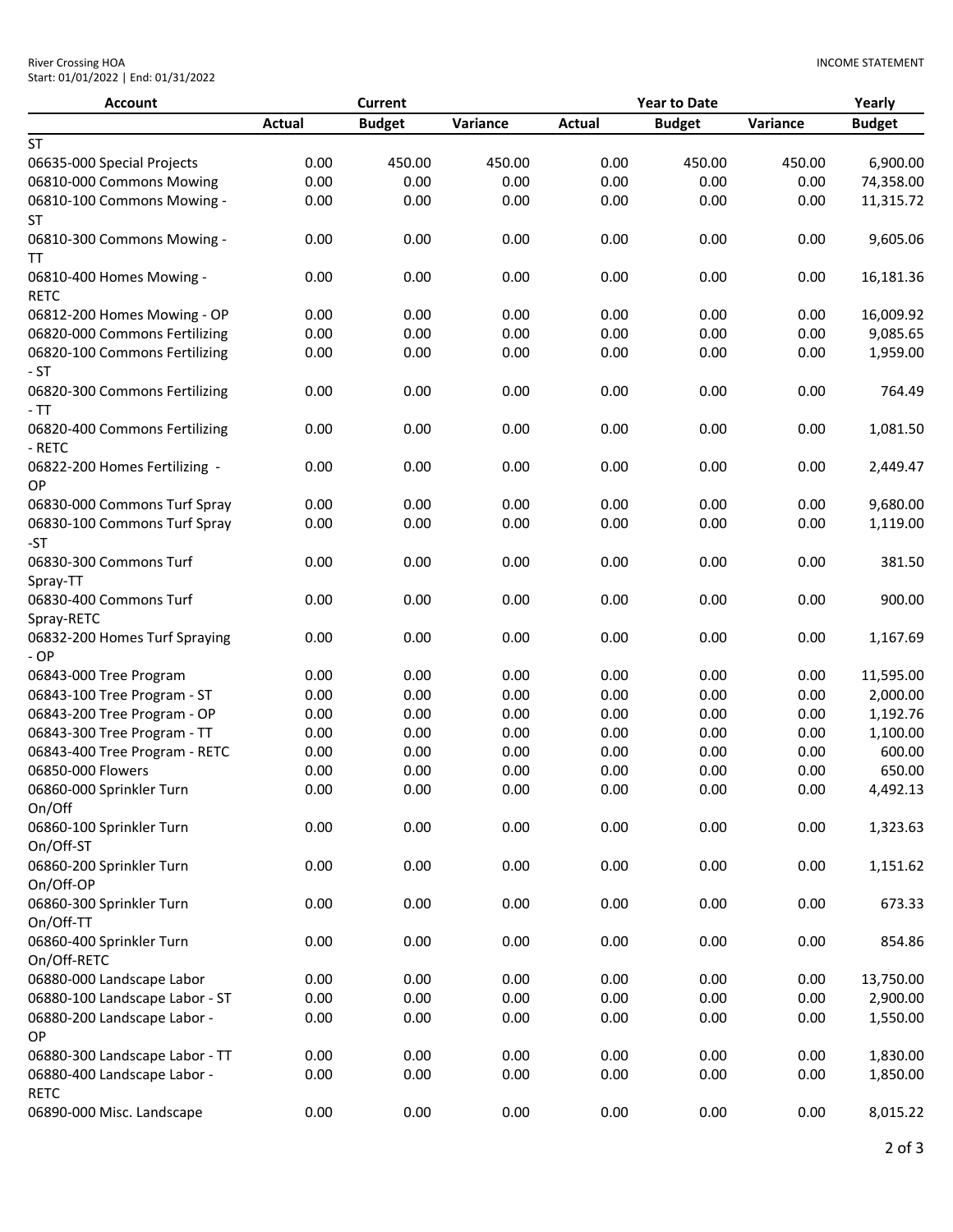| <b>Account</b>                          |               | <b>Current</b> |          |               | <b>Year to Date</b> |          | Yearly        |
|-----------------------------------------|---------------|----------------|----------|---------------|---------------------|----------|---------------|
|                                         | <b>Actual</b> | <b>Budget</b>  | Variance | <b>Actual</b> | <b>Budget</b>       | Variance | <b>Budget</b> |
| <b>ST</b>                               |               |                |          |               |                     |          |               |
| 06635-000 Special Projects              | 0.00          | 450.00         | 450.00   | 0.00          | 450.00              | 450.00   | 6,900.00      |
| 06810-000 Commons Mowing                | 0.00          | 0.00           | 0.00     | 0.00          | 0.00                | 0.00     | 74,358.00     |
| 06810-100 Commons Mowing -              | 0.00          | 0.00           | 0.00     | 0.00          | 0.00                | 0.00     | 11,315.72     |
| ST                                      |               |                |          |               |                     |          |               |
| 06810-300 Commons Mowing -              | 0.00          | 0.00           | 0.00     | 0.00          | 0.00                | 0.00     | 9,605.06      |
| TΤ                                      |               |                |          |               |                     |          |               |
| 06810-400 Homes Mowing -<br><b>RETC</b> | 0.00          | 0.00           | 0.00     | 0.00          | 0.00                | 0.00     | 16,181.36     |
| 06812-200 Homes Mowing - OP             | 0.00          | 0.00           | 0.00     | 0.00          | 0.00                | 0.00     | 16,009.92     |
| 06820-000 Commons Fertilizing           | 0.00          | 0.00           | 0.00     | 0.00          | 0.00                | 0.00     | 9,085.65      |
| 06820-100 Commons Fertilizing           | 0.00          | 0.00           | 0.00     | 0.00          | 0.00                | 0.00     | 1,959.00      |
| $-ST$                                   |               |                |          |               |                     |          |               |
| 06820-300 Commons Fertilizing           | 0.00          | 0.00           | 0.00     | 0.00          | 0.00                | 0.00     | 764.49        |
| - TT                                    |               |                |          |               |                     |          |               |
| 06820-400 Commons Fertilizing<br>- RETC | 0.00          | 0.00           | 0.00     | 0.00          | 0.00                | 0.00     | 1,081.50      |
| 06822-200 Homes Fertilizing -<br>OP     | 0.00          | 0.00           | 0.00     | 0.00          | 0.00                | 0.00     | 2,449.47      |
| 06830-000 Commons Turf Spray            | 0.00          | 0.00           | 0.00     | 0.00          | 0.00                | 0.00     | 9,680.00      |
| 06830-100 Commons Turf Spray            | 0.00          | 0.00           | 0.00     | 0.00          | 0.00                | 0.00     | 1,119.00      |
| -ST                                     |               |                |          |               |                     |          |               |
| 06830-300 Commons Turf<br>Spray-TT      | 0.00          | 0.00           | 0.00     | 0.00          | 0.00                | 0.00     | 381.50        |
| 06830-400 Commons Turf                  | 0.00          | 0.00           | 0.00     | 0.00          | 0.00                | 0.00     | 900.00        |
| Spray-RETC                              |               |                |          |               |                     |          |               |
| 06832-200 Homes Turf Spraying           | 0.00          | 0.00           | 0.00     | 0.00          | 0.00                | 0.00     | 1,167.69      |
| $-OP$                                   |               |                |          |               |                     |          |               |
| 06843-000 Tree Program                  | 0.00          | 0.00           | 0.00     | 0.00          | 0.00                | 0.00     | 11,595.00     |
| 06843-100 Tree Program - ST             | 0.00          | 0.00           | 0.00     | 0.00          | 0.00                | 0.00     | 2,000.00      |
| 06843-200 Tree Program - OP             | 0.00          | 0.00           | 0.00     | 0.00          | 0.00                | 0.00     | 1,192.76      |
| 06843-300 Tree Program - TT             | 0.00          | 0.00           | 0.00     | 0.00          | 0.00                | 0.00     | 1,100.00      |
| 06843-400 Tree Program - RETC           | 0.00          | 0.00           | 0.00     | 0.00          | 0.00                | 0.00     | 600.00        |
| 06850-000 Flowers                       | 0.00          | 0.00           | 0.00     | 0.00          | 0.00                | 0.00     | 650.00        |
| 06860-000 Sprinkler Turn                | 0.00          | 0.00           | 0.00     | 0.00          | 0.00                | 0.00     | 4,492.13      |
| On/Off                                  |               |                |          |               |                     |          |               |
| 06860-100 Sprinkler Turn                | 0.00          | 0.00           | 0.00     | 0.00          | 0.00                | 0.00     | 1,323.63      |
| On/Off-ST                               |               |                |          |               |                     |          |               |
| 06860-200 Sprinkler Turn                | 0.00          | 0.00           | 0.00     | 0.00          | 0.00                | 0.00     | 1,151.62      |
| On/Off-OP                               |               |                |          |               |                     |          |               |
| 06860-300 Sprinkler Turn                | 0.00          | 0.00           | 0.00     | 0.00          | 0.00                | 0.00     | 673.33        |
| On/Off-TT                               |               |                |          |               |                     |          |               |
| 06860-400 Sprinkler Turn                | 0.00          | 0.00           | 0.00     | 0.00          | 0.00                | 0.00     | 854.86        |
| On/Off-RETC                             |               |                |          |               |                     |          |               |
| 06880-000 Landscape Labor               | 0.00          | 0.00           | 0.00     | 0.00          | 0.00                | 0.00     | 13,750.00     |
| 06880-100 Landscape Labor - ST          | 0.00          | 0.00           | 0.00     | 0.00          | 0.00                | 0.00     | 2,900.00      |
| 06880-200 Landscape Labor -             | 0.00          | 0.00           | 0.00     | 0.00          | 0.00                | 0.00     | 1,550.00      |
| OP                                      |               |                |          |               |                     |          |               |
| 06880-300 Landscape Labor - TT          | 0.00          | 0.00           | 0.00     | 0.00          | 0.00                | 0.00     | 1,830.00      |
| 06880-400 Landscape Labor -             | 0.00          | 0.00           | 0.00     | 0.00          | 0.00                | 0.00     | 1,850.00      |
| <b>RETC</b>                             |               |                |          |               |                     |          |               |
| 06890-000 Misc. Landscape               | 0.00          | 0.00           | 0.00     | 0.00          | 0.00                | 0.00     | 8,015.22      |
|                                         |               |                |          |               |                     |          |               |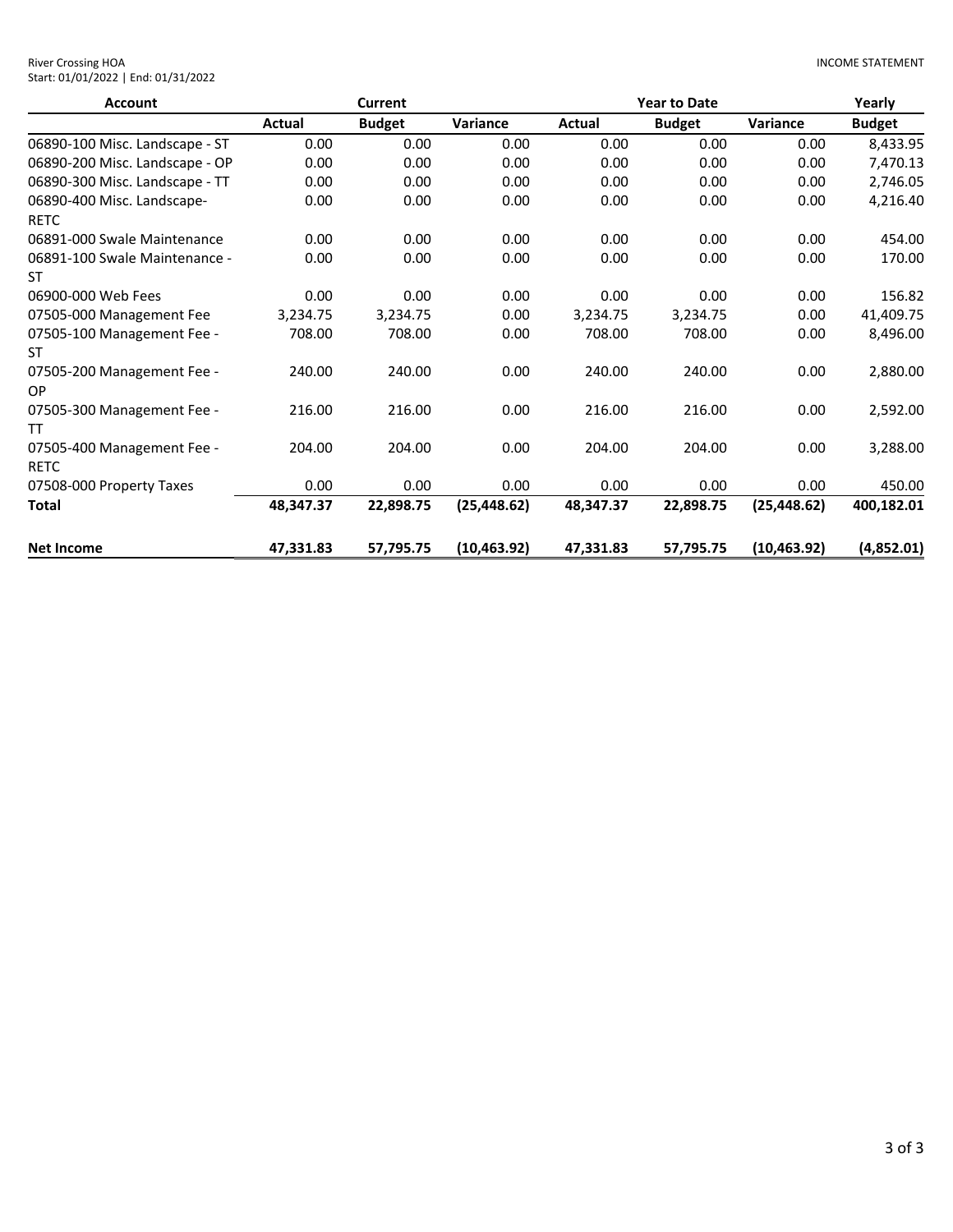| <b>River Crossing HOA</b>           |  |
|-------------------------------------|--|
| Start: 01/01/2022   End: 01/31/2022 |  |

| <b>Account</b>                             |           | <b>Current</b> |              |           | <b>Year to Date</b> |              | Yearly        |
|--------------------------------------------|-----------|----------------|--------------|-----------|---------------------|--------------|---------------|
|                                            | Actual    | <b>Budget</b>  | Variance     | Actual    | <b>Budget</b>       | Variance     | <b>Budget</b> |
| 06890-100 Misc. Landscape - ST             | 0.00      | 0.00           | 0.00         | 0.00      | 0.00                | 0.00         | 8,433.95      |
| 06890-200 Misc. Landscape - OP             | 0.00      | 0.00           | 0.00         | 0.00      | 0.00                | 0.00         | 7,470.13      |
| 06890-300 Misc. Landscape - TT             | 0.00      | 0.00           | 0.00         | 0.00      | 0.00                | 0.00         | 2,746.05      |
| 06890-400 Misc. Landscape-                 | 0.00      | 0.00           | 0.00         | 0.00      | 0.00                | 0.00         | 4,216.40      |
| <b>RETC</b><br>06891-000 Swale Maintenance | 0.00      | 0.00           | 0.00         | 0.00      | 0.00                | 0.00         | 454.00        |
| 06891-100 Swale Maintenance -<br>ST        | 0.00      | 0.00           | 0.00         | 0.00      | 0.00                | 0.00         | 170.00        |
| 06900-000 Web Fees                         | 0.00      | 0.00           | 0.00         | 0.00      | 0.00                | 0.00         | 156.82        |
| 07505-000 Management Fee                   | 3,234.75  | 3,234.75       | 0.00         | 3,234.75  | 3,234.75            | 0.00         | 41,409.75     |
| 07505-100 Management Fee -<br>ST           | 708.00    | 708.00         | 0.00         | 708.00    | 708.00              | 0.00         | 8,496.00      |
| 07505-200 Management Fee -<br>OP           | 240.00    | 240.00         | 0.00         | 240.00    | 240.00              | 0.00         | 2,880.00      |
| 07505-300 Management Fee -<br>TΤ           | 216.00    | 216.00         | 0.00         | 216.00    | 216.00              | 0.00         | 2,592.00      |
| 07505-400 Management Fee -<br><b>RETC</b>  | 204.00    | 204.00         | 0.00         | 204.00    | 204.00              | 0.00         | 3,288.00      |
| 07508-000 Property Taxes                   | 0.00      | 0.00           | 0.00         | 0.00      | 0.00                | 0.00         | 450.00        |
| <b>Total</b>                               | 48,347.37 | 22,898.75      | (25, 448.62) | 48,347.37 | 22,898.75           | (25, 448.62) | 400,182.01    |
| <b>Net Income</b>                          | 47,331.83 | 57,795.75      | (10, 463.92) | 47,331.83 | 57,795.75           | (10, 463.92) | (4,852.01)    |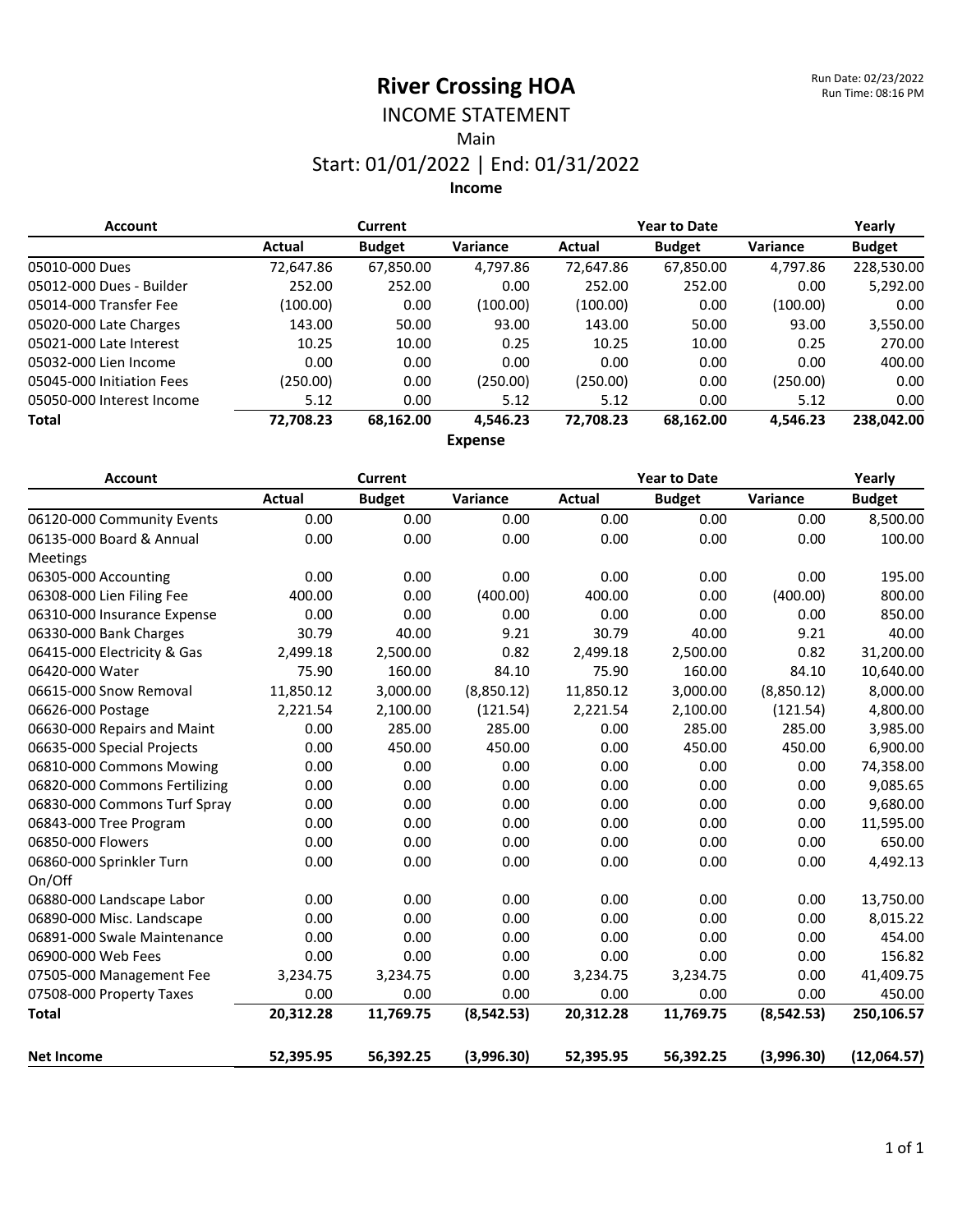# INCOME STATEMENT

Main

### Start: 01/01/2022 | End: 01/31/2022

**Income**

| <b>Account</b>            |           | <b>Current</b> |                 | <b>Year to Date</b> |               |                 | Yearly        |
|---------------------------|-----------|----------------|-----------------|---------------------|---------------|-----------------|---------------|
|                           | Actual    | <b>Budget</b>  | <b>Variance</b> | Actual              | <b>Budget</b> | <b>Variance</b> | <b>Budget</b> |
| 05010-000 Dues            | 72,647.86 | 67,850.00      | 4,797.86        | 72,647.86           | 67,850.00     | 4,797.86        | 228,530.00    |
| 05012-000 Dues - Builder  | 252.00    | 252.00         | 0.00            | 252.00              | 252.00        | 0.00            | 5,292.00      |
| 05014-000 Transfer Fee    | (100.00)  | 0.00           | (100.00)        | (100.00)            | 0.00          | (100.00)        | 0.00          |
| 05020-000 Late Charges    | 143.00    | 50.00          | 93.00           | 143.00              | 50.00         | 93.00           | 3,550.00      |
| 05021-000 Late Interest   | 10.25     | 10.00          | 0.25            | 10.25               | 10.00         | 0.25            | 270.00        |
| 05032-000 Lien Income     | 0.00      | 0.00           | 0.00            | 0.00                | 0.00          | 0.00            | 400.00        |
| 05045-000 Initiation Fees | (250.00)  | 0.00           | (250.00)        | (250.00)            | 0.00          | (250.00)        | 0.00          |
| 05050-000 Interest Income | 5.12      | 0.00           | 5.12            | 5.12                | 0.00          | 5.12            | 0.00          |
| Total                     | 72,708.23 | 68,162.00      | 4,546.23        | 72,708.23           | 68,162.00     | 4,546.23        | 238,042.00    |
|                           |           |                | Evannen         |                     |               |                 |               |

**Expense**

| <b>Account</b>                |               | Current       |             | <b>Year to Date</b> |               |             | Yearly        |  |
|-------------------------------|---------------|---------------|-------------|---------------------|---------------|-------------|---------------|--|
|                               | <b>Actual</b> | <b>Budget</b> | Variance    | Actual              | <b>Budget</b> | Variance    | <b>Budget</b> |  |
| 06120-000 Community Events    | 0.00          | 0.00          | 0.00        | 0.00                | 0.00          | 0.00        | 8,500.00      |  |
| 06135-000 Board & Annual      | 0.00          | 0.00          | 0.00        | 0.00                | 0.00          | 0.00        | 100.00        |  |
| Meetings                      |               |               |             |                     |               |             |               |  |
| 06305-000 Accounting          | 0.00          | 0.00          | 0.00        | 0.00                | 0.00          | 0.00        | 195.00        |  |
| 06308-000 Lien Filing Fee     | 400.00        | 0.00          | (400.00)    | 400.00              | 0.00          | (400.00)    | 800.00        |  |
| 06310-000 Insurance Expense   | 0.00          | 0.00          | 0.00        | 0.00                | 0.00          | 0.00        | 850.00        |  |
| 06330-000 Bank Charges        | 30.79         | 40.00         | 9.21        | 30.79               | 40.00         | 9.21        | 40.00         |  |
| 06415-000 Electricity & Gas   | 2,499.18      | 2,500.00      | 0.82        | 2,499.18            | 2,500.00      | 0.82        | 31,200.00     |  |
| 06420-000 Water               | 75.90         | 160.00        | 84.10       | 75.90               | 160.00        | 84.10       | 10,640.00     |  |
| 06615-000 Snow Removal        | 11,850.12     | 3,000.00      | (8,850.12)  | 11,850.12           | 3,000.00      | (8,850.12)  | 8,000.00      |  |
| 06626-000 Postage             | 2,221.54      | 2,100.00      | (121.54)    | 2,221.54            | 2,100.00      | (121.54)    | 4,800.00      |  |
| 06630-000 Repairs and Maint   | 0.00          | 285.00        | 285.00      | 0.00                | 285.00        | 285.00      | 3,985.00      |  |
| 06635-000 Special Projects    | 0.00          | 450.00        | 450.00      | 0.00                | 450.00        | 450.00      | 6,900.00      |  |
| 06810-000 Commons Mowing      | 0.00          | 0.00          | 0.00        | 0.00                | 0.00          | 0.00        | 74,358.00     |  |
| 06820-000 Commons Fertilizing | 0.00          | 0.00          | 0.00        | 0.00                | 0.00          | 0.00        | 9,085.65      |  |
| 06830-000 Commons Turf Spray  | 0.00          | 0.00          | 0.00        | 0.00                | 0.00          | 0.00        | 9,680.00      |  |
| 06843-000 Tree Program        | 0.00          | 0.00          | 0.00        | 0.00                | 0.00          | 0.00        | 11,595.00     |  |
| 06850-000 Flowers             | 0.00          | 0.00          | 0.00        | 0.00                | 0.00          | 0.00        | 650.00        |  |
| 06860-000 Sprinkler Turn      | 0.00          | 0.00          | 0.00        | 0.00                | 0.00          | 0.00        | 4,492.13      |  |
| On/Off                        |               |               |             |                     |               |             |               |  |
| 06880-000 Landscape Labor     | 0.00          | 0.00          | 0.00        | 0.00                | 0.00          | 0.00        | 13,750.00     |  |
| 06890-000 Misc. Landscape     | 0.00          | 0.00          | 0.00        | 0.00                | 0.00          | 0.00        | 8,015.22      |  |
| 06891-000 Swale Maintenance   | 0.00          | 0.00          | 0.00        | 0.00                | 0.00          | 0.00        | 454.00        |  |
| 06900-000 Web Fees            | 0.00          | 0.00          | 0.00        | 0.00                | 0.00          | 0.00        | 156.82        |  |
| 07505-000 Management Fee      | 3,234.75      | 3,234.75      | 0.00        | 3,234.75            | 3,234.75      | 0.00        | 41,409.75     |  |
| 07508-000 Property Taxes      | 0.00          | 0.00          | 0.00        | 0.00                | 0.00          | 0.00        | 450.00        |  |
| <b>Total</b>                  | 20,312.28     | 11,769.75     | (8, 542.53) | 20,312.28           | 11,769.75     | (8, 542.53) | 250,106.57    |  |
| <b>Net Income</b>             | 52,395.95     | 56,392.25     | (3,996.30)  | 52,395.95           | 56,392.25     | (3,996.30)  | (12,064.57)   |  |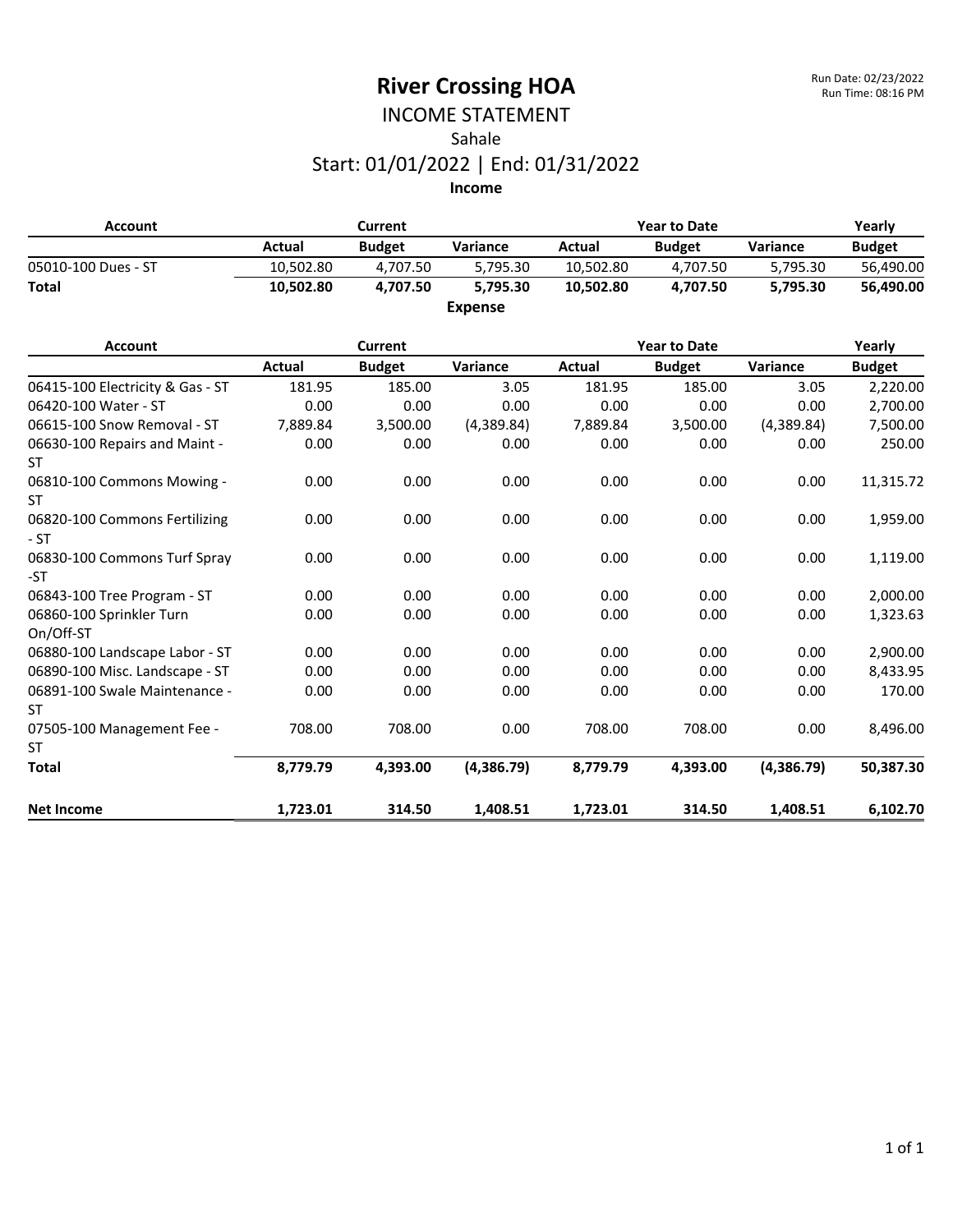### INCOME STATEMENT Sahale Start: 01/01/2022 | End: 01/31/2022

| <b>Account</b>      |           | Current       |                |           | <b>Year to Date</b> |          |               |
|---------------------|-----------|---------------|----------------|-----------|---------------------|----------|---------------|
|                     | Actual    | <b>Budget</b> | Variance       | Actual    | <b>Budget</b>       | Variance | <b>Budget</b> |
| 05010-100 Dues - ST | 10.502.80 | 4.707.50      | 5.795.30       | 10.502.80 | 4.707.50            | 5.795.30 | 56,490.00     |
| <b>Total</b>        | 10.502.80 | 4.707.50      | 5.795.30       | 10.502.80 | 4.707.50            | 5.795.30 | 56.490.00     |
|                     |           |               | <b>Expense</b> |           |                     |          |               |

| <b>Account</b>                         |               | <b>Current</b> |            |          | <b>Year to Date</b> |            | Yearly        |
|----------------------------------------|---------------|----------------|------------|----------|---------------------|------------|---------------|
|                                        | <b>Actual</b> | <b>Budget</b>  | Variance   | Actual   | <b>Budget</b>       | Variance   | <b>Budget</b> |
| 06415-100 Electricity & Gas - ST       | 181.95        | 185.00         | 3.05       | 181.95   | 185.00              | 3.05       | 2,220.00      |
| 06420-100 Water - ST                   | 0.00          | 0.00           | 0.00       | 0.00     | 0.00                | 0.00       | 2,700.00      |
| 06615-100 Snow Removal - ST            | 7,889.84      | 3,500.00       | (4,389.84) | 7,889.84 | 3,500.00            | (4,389.84) | 7,500.00      |
| 06630-100 Repairs and Maint -<br>ST    | 0.00          | 0.00           | 0.00       | 0.00     | 0.00                | 0.00       | 250.00        |
| 06810-100 Commons Mowing -<br>ST       | 0.00          | 0.00           | 0.00       | 0.00     | 0.00                | 0.00       | 11,315.72     |
| 06820-100 Commons Fertilizing<br>$-ST$ | 0.00          | 0.00           | 0.00       | 0.00     | 0.00                | 0.00       | 1,959.00      |
| 06830-100 Commons Turf Spray<br>-ST    | 0.00          | 0.00           | 0.00       | 0.00     | 0.00                | 0.00       | 1,119.00      |
| 06843-100 Tree Program - ST            | 0.00          | 0.00           | 0.00       | 0.00     | 0.00                | 0.00       | 2,000.00      |
| 06860-100 Sprinkler Turn<br>On/Off-ST  | 0.00          | 0.00           | 0.00       | 0.00     | 0.00                | 0.00       | 1,323.63      |
| 06880-100 Landscape Labor - ST         | 0.00          | 0.00           | 0.00       | 0.00     | 0.00                | 0.00       | 2,900.00      |
| 06890-100 Misc. Landscape - ST         | 0.00          | 0.00           | 0.00       | 0.00     | 0.00                | 0.00       | 8,433.95      |
| 06891-100 Swale Maintenance -<br>ST    | 0.00          | 0.00           | 0.00       | 0.00     | 0.00                | 0.00       | 170.00        |
| 07505-100 Management Fee -             | 708.00        | 708.00         | 0.00       | 708.00   | 708.00              | 0.00       | 8,496.00      |
| <b>ST</b>                              |               |                |            |          |                     |            |               |
| <b>Total</b>                           | 8,779.79      | 4,393.00       | (4,386.79) | 8,779.79 | 4,393.00            | (4,386.79) | 50,387.30     |
| <b>Net Income</b>                      | 1,723.01      | 314.50         | 1,408.51   | 1,723.01 | 314.50              | 1,408.51   | 6,102.70      |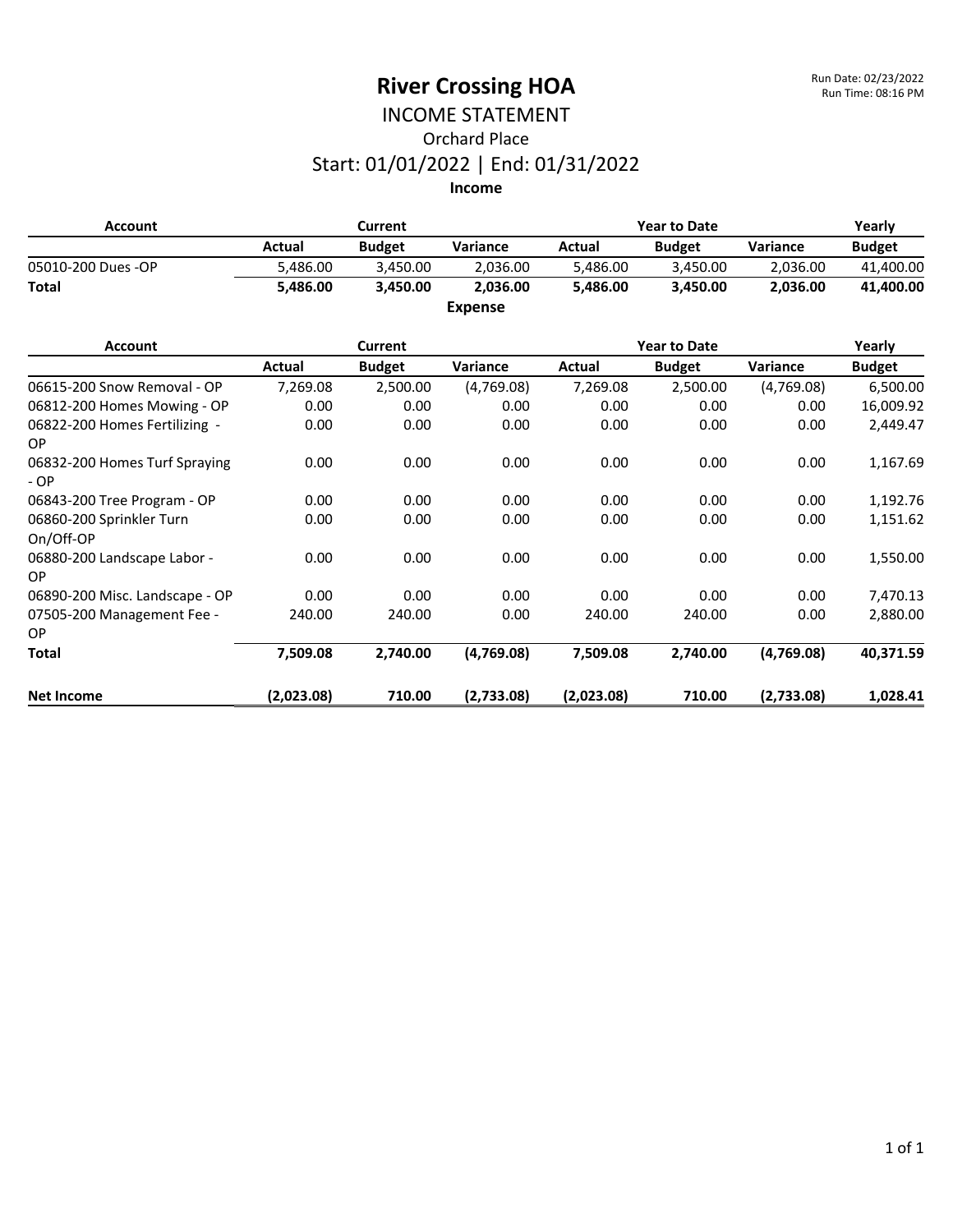#### INCOME STATEMENT Orchard Place Start: 01/01/2022 | End: 01/31/2022 **Income**

**Account Current Year to Date Yearly Actual Budget Variance Actual Budget Variance Budget** 05010-200 Dues -OP 6,486.00 5,486.00 3,450.00 5,486.00 5,486.00 3,450.00 2,036.00 41,400.00 **Total 5,486.00 3,450.00 2,036.00 5,486.00 3,450.00 2,036.00 41,400.00 Expense**

| <b>Account</b>                           |            | <b>Current</b> |            |            | <b>Year to Date</b> |            | Yearly        |
|------------------------------------------|------------|----------------|------------|------------|---------------------|------------|---------------|
|                                          | Actual     | <b>Budget</b>  | Variance   | Actual     | <b>Budget</b>       | Variance   | <b>Budget</b> |
| 06615-200 Snow Removal - OP              | 7,269.08   | 2,500.00       | (4,769.08) | 7,269.08   | 2,500.00            | (4,769.08) | 6,500.00      |
| 06812-200 Homes Mowing - OP              | 0.00       | 0.00           | 0.00       | 0.00       | 0.00                | 0.00       | 16,009.92     |
| 06822-200 Homes Fertilizing -<br>OP.     | 0.00       | 0.00           | 0.00       | 0.00       | 0.00                | 0.00       | 2,449.47      |
| 06832-200 Homes Turf Spraying<br>$-OP$   | 0.00       | 0.00           | 0.00       | 0.00       | 0.00                | 0.00       | 1,167.69      |
| 06843-200 Tree Program - OP              | 0.00       | 0.00           | 0.00       | 0.00       | 0.00                | 0.00       | 1,192.76      |
| 06860-200 Sprinkler Turn<br>On/Off-OP    | 0.00       | 0.00           | 0.00       | 0.00       | 0.00                | 0.00       | 1,151.62      |
| 06880-200 Landscape Labor -<br><b>OP</b> | 0.00       | 0.00           | 0.00       | 0.00       | 0.00                | 0.00       | 1,550.00      |
| 06890-200 Misc. Landscape - OP           | 0.00       | 0.00           | 0.00       | 0.00       | 0.00                | 0.00       | 7,470.13      |
| 07505-200 Management Fee -<br>OP.        | 240.00     | 240.00         | 0.00       | 240.00     | 240.00              | 0.00       | 2,880.00      |
| <b>Total</b>                             | 7,509.08   | 2,740.00       | (4,769.08) | 7,509.08   | 2,740.00            | (4,769.08) | 40,371.59     |
| <b>Net Income</b>                        | (2,023.08) | 710.00         | (2,733.08) | (2,023.08) | 710.00              | (2,733.08) | 1,028.41      |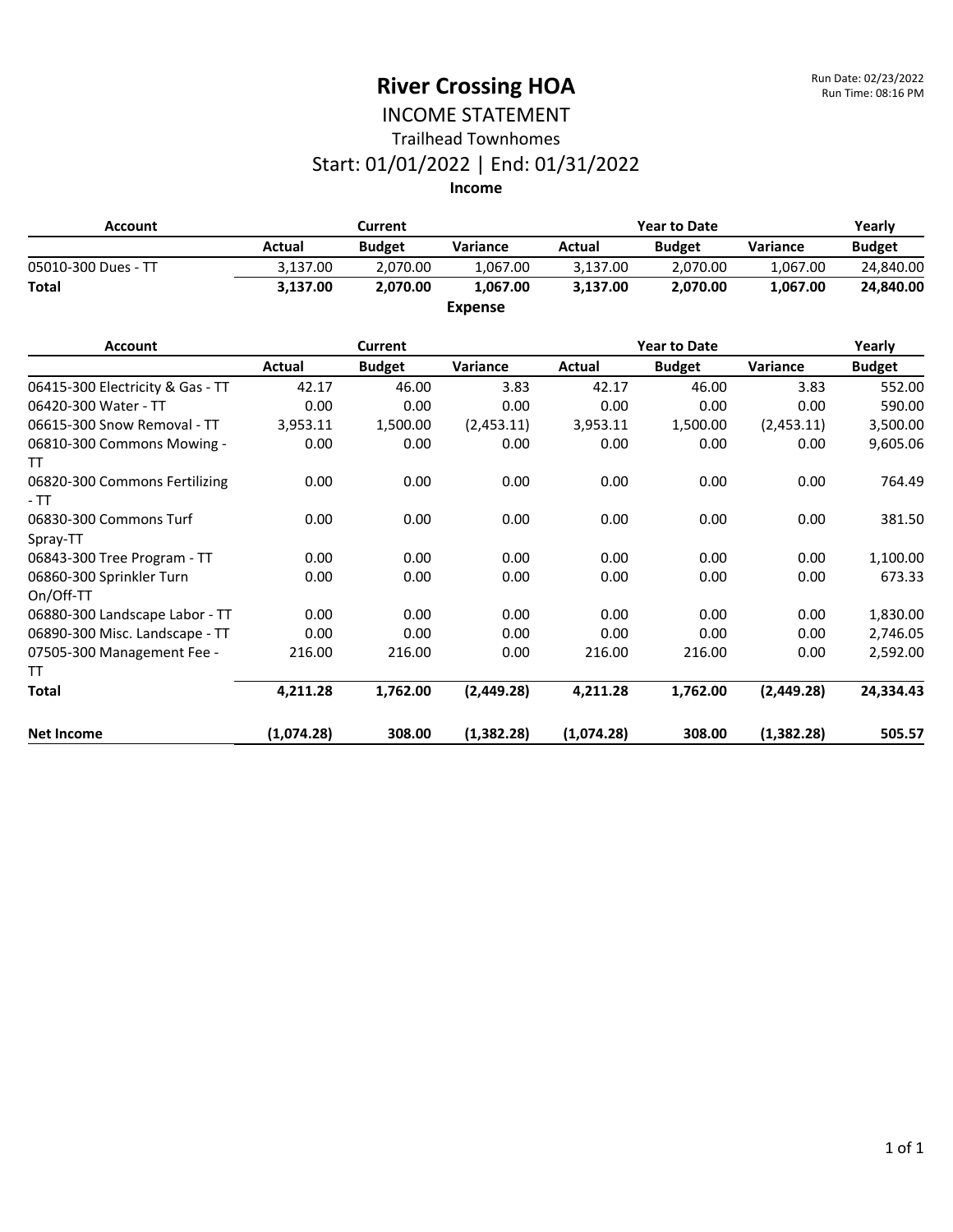#### INCOME STATEMENT Trailhead Townhomes

### Start: 01/01/2022 | End: 01/31/2022

| <b>Account</b>      |          | Current       |                 |          | <b>Year to Date</b> |                 |               |
|---------------------|----------|---------------|-----------------|----------|---------------------|-----------------|---------------|
|                     | Actual   | <b>Budget</b> | <b>Variance</b> | Actual   | <b>Budget</b>       | <b>Variance</b> | <b>Budget</b> |
| 05010-300 Dues - TT | 3.137.00 | 2.070.00      | 1.067.00        | 3.137.00 | 2.070.00            | 1.067.00        | 24,840.00     |
| <b>Total</b>        | 3.137.00 | 2.070.00      | 1.067.00        | 3.137.00 | 2.070.00            | 1.067.00        | 24,840.00     |
|                     |          |               | <b>Expense</b>  |          |                     |                 |               |

| <b>Account</b>                         | Current    |               |            | <b>Year to Date</b> |               |            | Yearly        |
|----------------------------------------|------------|---------------|------------|---------------------|---------------|------------|---------------|
|                                        | Actual     | <b>Budget</b> | Variance   | Actual              | <b>Budget</b> | Variance   | <b>Budget</b> |
| 06415-300 Electricity & Gas - TT       | 42.17      | 46.00         | 3.83       | 42.17               | 46.00         | 3.83       | 552.00        |
| 06420-300 Water - TT                   | 0.00       | 0.00          | 0.00       | 0.00                | 0.00          | 0.00       | 590.00        |
| 06615-300 Snow Removal - TT            | 3,953.11   | 1,500.00      | (2,453.11) | 3,953.11            | 1,500.00      | (2,453.11) | 3,500.00      |
| 06810-300 Commons Mowing -<br>TT       | 0.00       | 0.00          | 0.00       | 0.00                | 0.00          | 0.00       | 9,605.06      |
| 06820-300 Commons Fertilizing<br>$-TT$ | 0.00       | 0.00          | 0.00       | 0.00                | 0.00          | 0.00       | 764.49        |
| 06830-300 Commons Turf<br>Spray-TT     | 0.00       | 0.00          | 0.00       | 0.00                | 0.00          | 0.00       | 381.50        |
| 06843-300 Tree Program - TT            | 0.00       | 0.00          | 0.00       | 0.00                | 0.00          | 0.00       | 1,100.00      |
| 06860-300 Sprinkler Turn<br>On/Off-TT  | 0.00       | 0.00          | 0.00       | 0.00                | 0.00          | 0.00       | 673.33        |
| 06880-300 Landscape Labor - TT         | 0.00       | 0.00          | 0.00       | 0.00                | 0.00          | 0.00       | 1,830.00      |
| 06890-300 Misc. Landscape - TT         | 0.00       | 0.00          | 0.00       | 0.00                | 0.00          | 0.00       | 2,746.05      |
| 07505-300 Management Fee -             | 216.00     | 216.00        | 0.00       | 216.00              | 216.00        | 0.00       | 2,592.00      |
| TT                                     |            |               |            |                     |               |            |               |
| <b>Total</b>                           | 4,211.28   | 1,762.00      | (2,449.28) | 4,211.28            | 1,762.00      | (2,449.28) | 24,334.43     |
| <b>Net Income</b>                      | (1,074.28) | 308.00        | (1,382.28) | (1,074.28)          | 308.00        | (1,382.28) | 505.57        |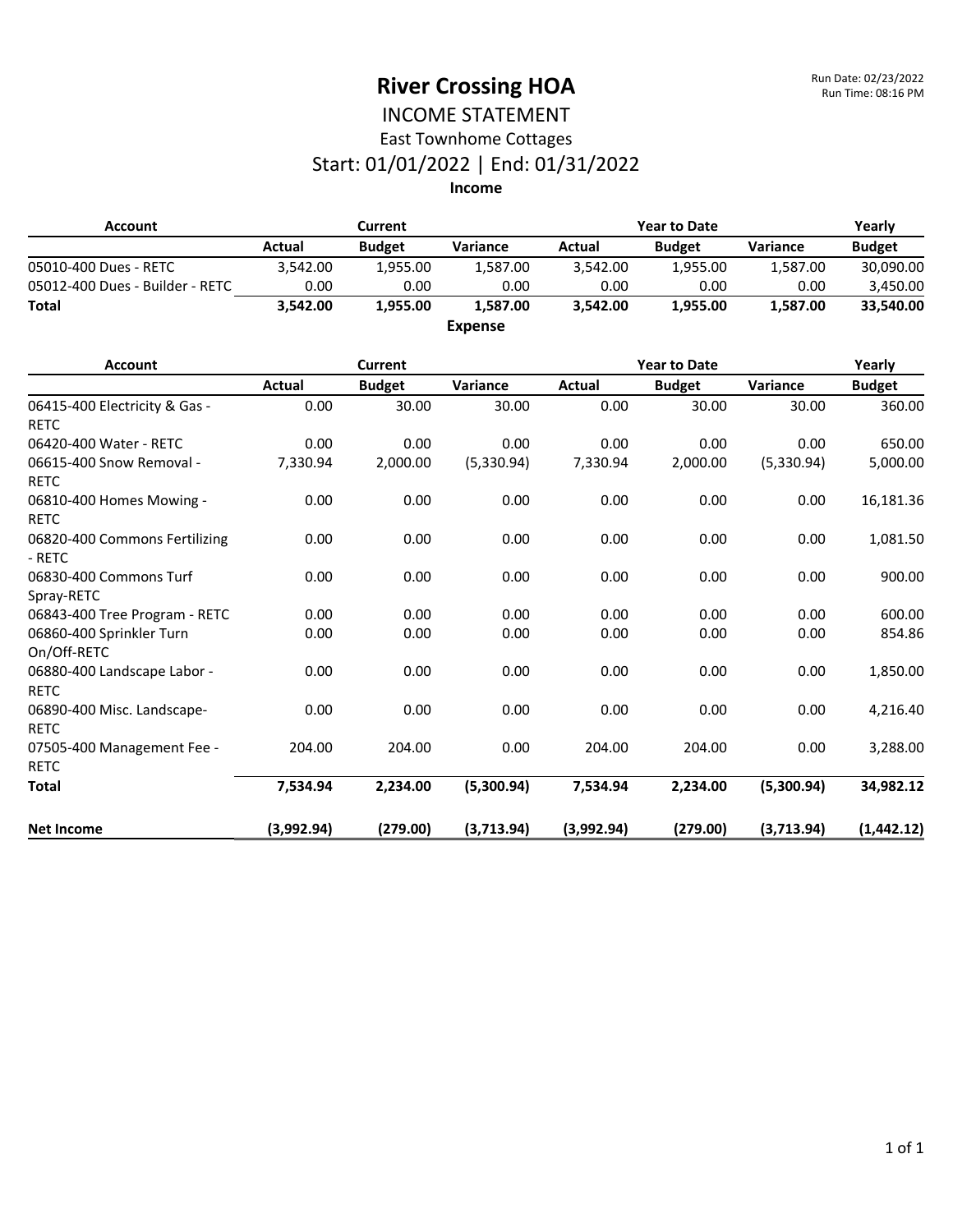#### INCOME STATEMENT East Townhome Cottages

## Start: 01/01/2022 | End: 01/31/2022

| <b>Account</b>                               | <b>Current</b> |               |                | <b>Year to Date</b> |                     |            | Yearly        |
|----------------------------------------------|----------------|---------------|----------------|---------------------|---------------------|------------|---------------|
|                                              | <b>Actual</b>  | <b>Budget</b> | Variance       | <b>Actual</b>       | <b>Budget</b>       | Variance   | <b>Budget</b> |
| 05010-400 Dues - RETC                        | 3,542.00       | 1,955.00      | 1,587.00       | 3,542.00            | 1,955.00            | 1,587.00   | 30,090.00     |
| 05012-400 Dues - Builder - RETC              | 0.00           | 0.00          | 0.00           | 0.00                | 0.00                | 0.00       | 3,450.00      |
| <b>Total</b>                                 | 3,542.00       | 1,955.00      | 1,587.00       | 3,542.00            | 1,955.00            | 1,587.00   | 33,540.00     |
|                                              |                |               | <b>Expense</b> |                     |                     |            |               |
| <b>Account</b>                               |                | Current       |                |                     | <b>Year to Date</b> |            | Yearly        |
|                                              | <b>Actual</b>  | <b>Budget</b> | Variance       | <b>Actual</b>       | <b>Budget</b>       | Variance   | <b>Budget</b> |
| 06415-400 Electricity & Gas -<br><b>RETC</b> | 0.00           | 30.00         | 30.00          | 0.00                | 30.00               | 30.00      | 360.00        |
| 06420-400 Water - RETC                       | 0.00           | 0.00          | 0.00           | 0.00                | 0.00                | 0.00       | 650.00        |
| 06615-400 Snow Removal -<br><b>RETC</b>      | 7,330.94       | 2,000.00      | (5,330.94)     | 7,330.94            | 2,000.00            | (5,330.94) | 5,000.00      |
| 06810-400 Homes Mowing -<br><b>RETC</b>      | 0.00           | 0.00          | 0.00           | 0.00                | 0.00                | 0.00       | 16,181.36     |
| 06820-400 Commons Fertilizing<br>- RETC      | 0.00           | 0.00          | 0.00           | 0.00                | 0.00                | 0.00       | 1,081.50      |
| 06830-400 Commons Turf<br>Spray-RETC         | 0.00           | 0.00          | 0.00           | 0.00                | 0.00                | 0.00       | 900.00        |
| 06843-400 Tree Program - RETC                | 0.00           | 0.00          | 0.00           | 0.00                | 0.00                | 0.00       | 600.00        |
| 06860-400 Sprinkler Turn<br>On/Off-RETC      | 0.00           | 0.00          | 0.00           | 0.00                | 0.00                | 0.00       | 854.86        |
| 06880-400 Landscape Labor -<br><b>RETC</b>   | 0.00           | 0.00          | 0.00           | 0.00                | 0.00                | 0.00       | 1,850.00      |
| 06890-400 Misc. Landscape-<br><b>RETC</b>    | 0.00           | 0.00          | 0.00           | 0.00                | 0.00                | 0.00       | 4,216.40      |
| 07505-400 Management Fee -<br><b>RETC</b>    | 204.00         | 204.00        | 0.00           | 204.00              | 204.00              | 0.00       | 3,288.00      |
| <b>Total</b>                                 | 7,534.94       | 2,234.00      | (5,300.94)     | 7,534.94            | 2,234.00            | (5,300.94) | 34,982.12     |
| <b>Net Income</b>                            | (3.992.94)     | (279.00)      | (3,713.94)     | (3,992.94)          | (279.00)            | (3,713.94) | (1,442.12)    |